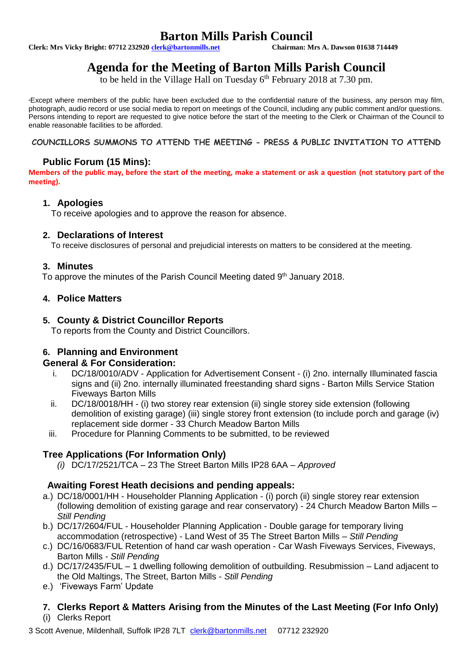# **Barton Mills Parish Council**<br>Chairman: Mrs A. Dawson 01638 714449

**Clerk: Mrs Vicky Bright: 07712 232920 clerk@bartonmills.net** 

# **Agenda for the Meeting of Barton Mills Parish Council**

to be held in the Village Hall on Tuesday 6<sup>th</sup> February 2018 at 7.30 pm.

\*Except where members of the public have been excluded due to the confidential nature of the business, any person may film, photograph, audio record or use social media to report on meetings of the Council, including any public comment and/or questions. Persons intending to report are requested to give notice before the start of the meeting to the Clerk or Chairman of the Council to enable reasonable facilities to be afforded.

#### **COUNCILLORS SUMMONS TO ATTEND THE MEETING - PRESS & PUBLIC INVITATION TO ATTEND**

# **Public Forum (15 Mins):**

**Members of the public may, before the start of the meeting, make a statement or ask a question (not statutory part of the meeting).**

#### **1. Apologies**

To receive apologies and to approve the reason for absence.

#### **2. Declarations of Interest**

To receive disclosures of personal and prejudicial interests on matters to be considered at the meeting.

#### **3. Minutes**

To approve the minutes of the Parish Council Meeting dated 9<sup>th</sup> January 2018.

# **4. Police Matters**

#### **5. County & District Councillor Reports**

To reports from the County and District Councillors.

# **6. Planning and Environment**

#### **General & For Consideration:**

- i. DC/18/0010/ADV Application for Advertisement Consent (i) 2no. internally Illuminated fascia signs and (ii) 2no. internally illuminated freestanding shard signs - Barton Mills Service Station Fiveways Barton Mills
- ii. DC/18/0018/HH (i) two storey rear extension (ii) single storey side extension (following demolition of existing garage) (iii) single storey front extension (to include porch and garage (iv) replacement side dormer - 33 Church Meadow Barton Mills
- iii. Procedure for Planning Comments to be submitted, to be reviewed

# **Tree Applications (For Information Only)**

*(i)* DC/17/2521/TCA – 23 The Street Barton Mills IP28 6AA – *Approved*

#### **Awaiting Forest Heath decisions and pending appeals:**

- a.) DC/18/0001/HH Householder Planning Application (i) porch (ii) single storey rear extension (following demolition of existing garage and rear conservatory) - 24 Church Meadow Barton Mills – *Still Pending*
- b.) DC/17/2604/FUL Householder Planning Application Double garage for temporary living accommodation (retrospective) - Land West of 35 The Street Barton Mills – *Still Pending*
- c.) DC/16/0683/FUL Retention of hand car wash operation Car Wash Fiveways Services, Fiveways, Barton Mills - *Still Pending*
- d.) DC/17/2435/FUL 1 dwelling following demolition of outbuilding. Resubmission Land adjacent to the Old Maltings, The Street, Barton Mills - *Still Pending*
- e.) 'Fiveways Farm' Update

# **7. Clerks Report & Matters Arising from the Minutes of the Last Meeting (For Info Only)**

(i) Clerks Report

3 Scott Avenue, Mildenhall, Suffolk IP28 7LT [clerk@bartonmills.net](mailto:clerk@bartonmills.net) 07712 232920